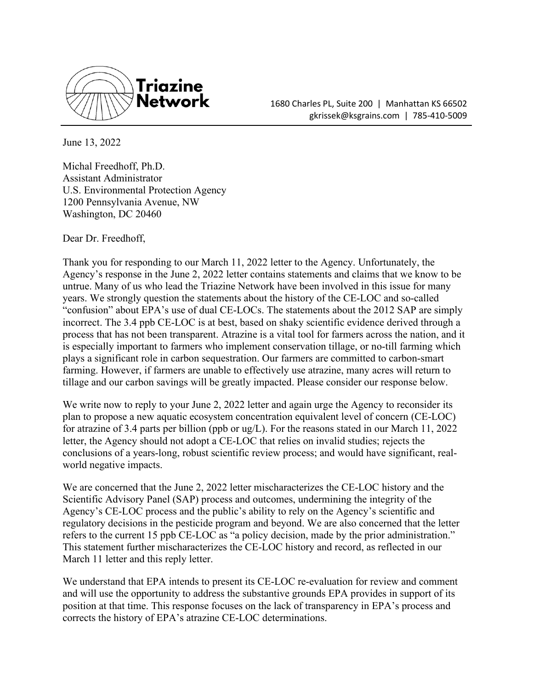

1680 Charles PL, Suite 200 | Manhattan KS 66502 gkrissek@ksgrains.com | 785-410-5009

June 13, 2022

Michal Freedhoff, Ph.D. Assistant Administrator U.S. Environmental Protection Agency 1200 Pennsylvania Avenue, NW Washington, DC 20460

Dear Dr. Freedhoff,

Thank you for responding to our March 11, 2022 letter to the Agency. Unfortunately, the Agency's response in the June 2, 2022 letter contains statements and claims that we know to be untrue. Many of us who lead the Triazine Network have been involved in this issue for many years. We strongly question the statements about the history of the CE-LOC and so-called "confusion" about EPA's use of dual CE-LOCs. The statements about the 2012 SAP are simply incorrect. The 3.4 ppb CE-LOC is at best, based on shaky scientific evidence derived through a process that has not been transparent. Atrazine is a vital tool for farmers across the nation, and it is especially important to farmers who implement conservation tillage, or no-till farming which plays a significant role in carbon sequestration. Our farmers are committed to carbon-smart farming. However, if farmers are unable to effectively use atrazine, many acres will return to tillage and our carbon savings will be greatly impacted. Please consider our response below.

We write now to reply to your June 2, 2022 letter and again urge the Agency to reconsider its plan to propose a new aquatic ecosystem concentration equivalent level of concern (CE-LOC) for atrazine of 3.4 parts per billion (ppb or ug/L). For the reasons stated in our March 11, 2022 letter, the Agency should not adopt a CE-LOC that relies on invalid studies; rejects the conclusions of a years-long, robust scientific review process; and would have significant, realworld negative impacts.

We are concerned that the June 2, 2022 letter mischaracterizes the CE-LOC history and the Scientific Advisory Panel (SAP) process and outcomes, undermining the integrity of the Agency's CE-LOC process and the public's ability to rely on the Agency's scientific and regulatory decisions in the pesticide program and beyond. We are also concerned that the letter refers to the current 15 ppb CE-LOC as "a policy decision, made by the prior administration." This statement further mischaracterizes the CE-LOC history and record, as reflected in our March 11 letter and this reply letter.

We understand that EPA intends to present its CE-LOC re-evaluation for review and comment and will use the opportunity to address the substantive grounds EPA provides in support of its position at that time. This response focuses on the lack of transparency in EPA's process and corrects the history of EPA's atrazine CE-LOC determinations.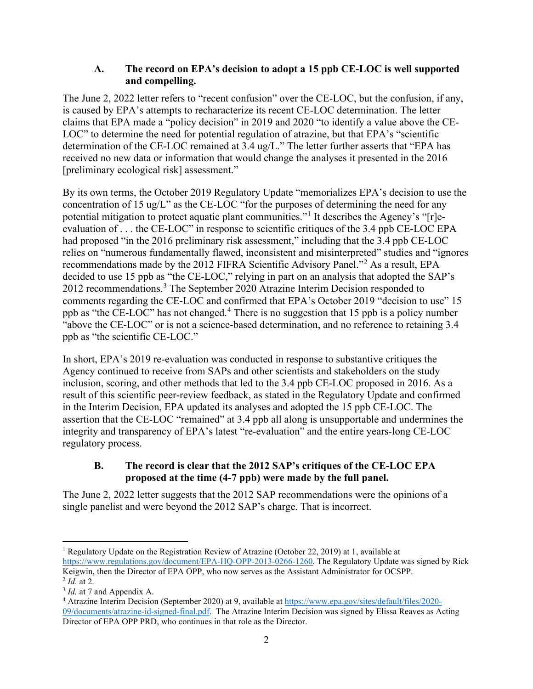### **A. The record on EPA's decision to adopt a 15 ppb CE-LOC is well supported and compelling.**

The June 2, 2022 letter refers to "recent confusion" over the CE-LOC, but the confusion, if any, is caused by EPA's attempts to recharacterize its recent CE-LOC determination. The letter claims that EPA made a "policy decision" in 2019 and 2020 "to identify a value above the CE-LOC" to determine the need for potential regulation of atrazine, but that EPA's "scientific determination of the CE-LOC remained at 3.4 ug/L." The letter further asserts that "EPA has received no new data or information that would change the analyses it presented in the 2016 [preliminary ecological risk] assessment."

By its own terms, the October 2019 Regulatory Update "memorializes EPA's decision to use the concentration of 15 ug/L" as the CE-LOC "for the purposes of determining the need for any potential mitigation to protect aquatic plant communities."[1](#page-1-0) It describes the Agency's "[r]eevaluation of . . . the CE-LOC" in response to scientific critiques of the 3.4 ppb CE-LOC EPA had proposed "in the 2016 preliminary risk assessment," including that the 3.4 ppb CE-LOC relies on "numerous fundamentally flawed, inconsistent and misinterpreted" studies and "ignores recommendations made by the 2012 FIFRA Scientific Advisory Panel."[2](#page-1-1) As a result, EPA decided to use 15 ppb as "the CE-LOC," relying in part on an analysis that adopted the SAP's 2012 recommendations.<sup>[3](#page-1-2)</sup> The September 2020 Atrazine Interim Decision responded to comments regarding the CE-LOC and confirmed that EPA's October 2019 "decision to use" 15 ppb as "the CE-LOC" has not changed.<sup>[4](#page-1-3)</sup> There is no suggestion that 15 ppb is a policy number "above the CE-LOC" or is not a science-based determination, and no reference to retaining 3.4 ppb as "the scientific CE-LOC."

In short, EPA's 2019 re-evaluation was conducted in response to substantive critiques the Agency continued to receive from SAPs and other scientists and stakeholders on the study inclusion, scoring, and other methods that led to the 3.4 ppb CE-LOC proposed in 2016. As a result of this scientific peer-review feedback, as stated in the Regulatory Update and confirmed in the Interim Decision, EPA updated its analyses and adopted the 15 ppb CE-LOC. The assertion that the CE-LOC "remained" at 3.4 ppb all along is unsupportable and undermines the integrity and transparency of EPA's latest "re-evaluation" and the entire years-long CE-LOC regulatory process.

# **B. The record is clear that the 2012 SAP's critiques of the CE-LOC EPA proposed at the time (4-7 ppb) were made by the full panel.**

The June 2, 2022 letter suggests that the 2012 SAP recommendations were the opinions of a single panelist and were beyond the 2012 SAP's charge. That is incorrect.

<span id="page-1-0"></span><sup>&</sup>lt;sup>1</sup> Regulatory Update on the Registration Review of Atrazine (October 22, 2019) at 1, available at [https://www.regulations.gov/document/EPA-HQ-OPP-2013-0266-1260.](https://www.regulations.gov/document/EPA-HQ-OPP-2013-0266-1260) The Regulatory Update was signed by Rick Keigwin, then the Director of EPA OPP, who now serves as the Assistant Administrator for OCSPP.  $^{2}$  *Id.* at 2.

<span id="page-1-2"></span><span id="page-1-1"></span><sup>3</sup> *Id.* at 7 and Appendix A.

<span id="page-1-3"></span><sup>4</sup> Atrazine Interim Decision (September 2020) at 9, available at [https://www.epa.gov/sites/default/files/2020-](https://www.epa.gov/sites/default/files/2020-09/documents/atrazine-id-signed-final.pdf) [09/documents/atrazine-id-signed-final.pdf.](https://www.epa.gov/sites/default/files/2020-09/documents/atrazine-id-signed-final.pdf) The Atrazine Interim Decision was signed by Elissa Reaves as Acting Director of EPA OPP PRD, who continues in that role as the Director.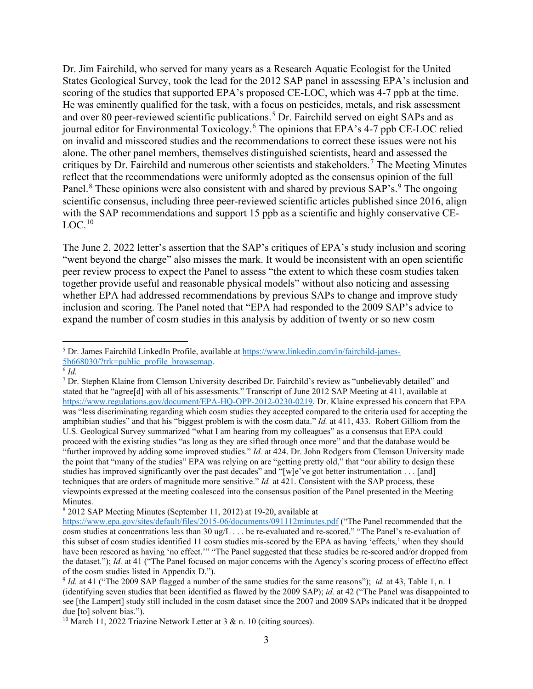Dr. Jim Fairchild, who served for many years as a Research Aquatic Ecologist for the United States Geological Survey, took the lead for the 2012 SAP panel in assessing EPA's inclusion and scoring of the studies that supported EPA's proposed CE-LOC, which was 4-7 ppb at the time. He was eminently qualified for the task, with a focus on pesticides, metals, and risk assessment and over 80 peer-reviewed scientific publications.<sup>[5](#page-2-0)</sup> Dr. Fairchild served on eight SAPs and as journal editor for Environmental Toxicology.<sup>[6](#page-2-1)</sup> The opinions that EPA's 4-7 ppb CE-LOC relied on invalid and misscored studies and the recommendations to correct these issues were not his alone. The other panel members, themselves distinguished scientists, heard and assessed the critiques by Dr. Fairchild and numerous other scientists and stakeholders.<sup>[7](#page-2-2)</sup> The Meeting Minutes reflect that the recommendations were uniformly adopted as the consensus opinion of the full Panel.<sup>[8](#page-2-3)</sup> These opinions were also consistent with and shared by previous SAP's.<sup>[9](#page-2-4)</sup> The ongoing scientific consensus, including three peer-reviewed scientific articles published since 2016, align with the SAP recommendations and support 15 ppb as a scientific and highly conservative CE- $LOC.^{10}$ 

The June 2, 2022 letter's assertion that the SAP's critiques of EPA's study inclusion and scoring "went beyond the charge" also misses the mark. It would be inconsistent with an open scientific peer review process to expect the Panel to assess "the extent to which these cosm studies taken together provide useful and reasonable physical models" without also noticing and assessing whether EPA had addressed recommendations by previous SAPs to change and improve study inclusion and scoring. The Panel noted that "EPA had responded to the 2009 SAP's advice to expand the number of cosm studies in this analysis by addition of twenty or so new cosm

<span id="page-2-0"></span><sup>5</sup> Dr. James Fairchild LinkedIn Profile, available a[t https://www.linkedin.com/in/fairchild-james-](https://www.linkedin.com/in/fairchild-james-5b668030/?trk=public_profile_browsemap)[5b668030/?trk=public\\_profile\\_browsemap.](https://www.linkedin.com/in/fairchild-james-5b668030/?trk=public_profile_browsemap) 6 *Id.*

<span id="page-2-1"></span>

<span id="page-2-2"></span><sup>7</sup> Dr. Stephen Klaine from Clemson University described Dr. Fairchild's review as "unbelievably detailed" and stated that he "agree[d] with all of his assessments." Transcript of June 2012 SAP Meeting at 411, available at [https://www.regulations.gov/document/EPA-HQ-OPP-2012-0230-0219.](https://www.regulations.gov/document/EPA-HQ-OPP-2012-0230-0219) Dr. Klaine expressed his concern that EPA was "less discriminating regarding which cosm studies they accepted compared to the criteria used for accepting the amphibian studies" and that his "biggest problem is with the cosm data." *Id.* at 411, 433. Robert Gilliom from the U.S. Geological Survey summarized "what I am hearing from my colleagues" as a consensus that EPA could proceed with the existing studies "as long as they are sifted through once more" and that the database would be "further improved by adding some improved studies." *Id.* at 424. Dr. John Rodgers from Clemson University made the point that "many of the studies" EPA was relying on are "getting pretty old," that "our ability to design these studies has improved significantly over the past decades" and "[w]e've got better instrumentation . . . [and] techniques that are orders of magnitude more sensitive." *Id.* at 421. Consistent with the SAP process, these viewpoints expressed at the meeting coalesced into the consensus position of the Panel presented in the Meeting Minutes.

<span id="page-2-3"></span><sup>8</sup> 2012 SAP Meeting Minutes (September 11, 2012) at 19-20, available at

<https://www.epa.gov/sites/default/files/2015-06/documents/091112minutes.pdf> ("The Panel recommended that the cosm studies at concentrations less than 30 ug/L . . . be re-evaluated and re-scored." "The Panel's re-evaluation of this subset of cosm studies identified 11 cosm studies mis-scored by the EPA as having 'effects,' when they should have been rescored as having 'no effect.'" "The Panel suggested that these studies be re-scored and/or dropped from the dataset."); *Id.* at 41 ("The Panel focused on major concerns with the Agency's scoring process of effect/no effect of the cosm studies listed in Appendix D.").

<span id="page-2-4"></span><sup>9</sup> *Id.* at 41 ("The 2009 SAP flagged a number of the same studies for the same reasons"); *id.* at 43, Table 1, n. 1 (identifying seven studies that been identified as flawed by the 2009 SAP); *id.* at 42 ("The Panel was disappointed to see [the Lampert] study still included in the cosm dataset since the 2007 and 2009 SAPs indicated that it be dropped due [to] solvent bias.").

<span id="page-2-5"></span><sup>&</sup>lt;sup>10</sup> March 11, 2022 Triazine Network Letter at 3 & n. 10 (citing sources).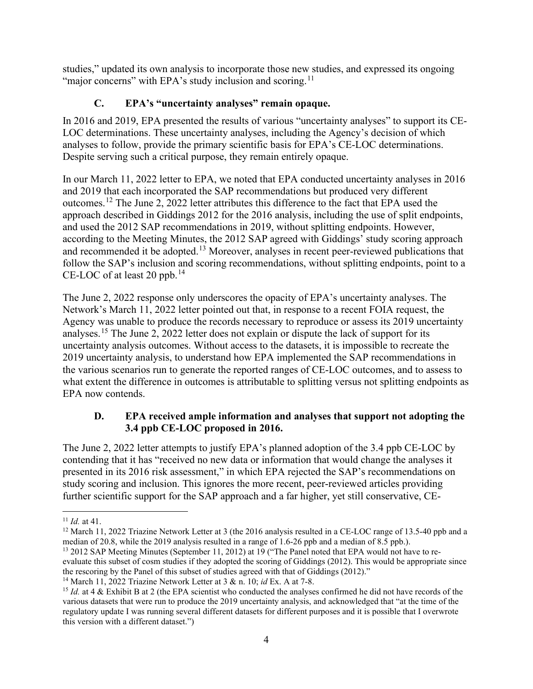studies," updated its own analysis to incorporate those new studies, and expressed its ongoing "major concerns" with EPA's study inclusion and scoring.<sup>[11](#page-3-0)</sup>

# **C. EPA's "uncertainty analyses" remain opaque.**

In 2016 and 2019, EPA presented the results of various "uncertainty analyses" to support its CE-LOC determinations. These uncertainty analyses, including the Agency's decision of which analyses to follow, provide the primary scientific basis for EPA's CE-LOC determinations. Despite serving such a critical purpose, they remain entirely opaque.

In our March 11, 2022 letter to EPA, we noted that EPA conducted uncertainty analyses in 2016 and 2019 that each incorporated the SAP recommendations but produced very different outcomes.[12](#page-3-1) The June 2, 2022 letter attributes this difference to the fact that EPA used the approach described in Giddings 2012 for the 2016 analysis, including the use of split endpoints, and used the 2012 SAP recommendations in 2019, without splitting endpoints. However, according to the Meeting Minutes, the 2012 SAP agreed with Giddings' study scoring approach and recommended it be adopted.<sup>[13](#page-3-2)</sup> Moreover, analyses in recent peer-reviewed publications that follow the SAP's inclusion and scoring recommendations, without splitting endpoints, point to a CE-LOC of at least 20 ppb.<sup>14</sup>

The June 2, 2022 response only underscores the opacity of EPA's uncertainty analyses. The Network's March 11, 2022 letter pointed out that, in response to a recent FOIA request, the Agency was unable to produce the records necessary to reproduce or assess its 2019 uncertainty analyses.[15](#page-3-4) The June 2, 2022 letter does not explain or dispute the lack of support for its uncertainty analysis outcomes. Without access to the datasets, it is impossible to recreate the 2019 uncertainty analysis, to understand how EPA implemented the SAP recommendations in the various scenarios run to generate the reported ranges of CE-LOC outcomes, and to assess to what extent the difference in outcomes is attributable to splitting versus not splitting endpoints as EPA now contends.

#### **D. EPA received ample information and analyses that support not adopting the 3.4 ppb CE-LOC proposed in 2016.**

The June 2, 2022 letter attempts to justify EPA's planned adoption of the 3.4 ppb CE-LOC by contending that it has "received no new data or information that would change the analyses it presented in its 2016 risk assessment," in which EPA rejected the SAP's recommendations on study scoring and inclusion. This ignores the more recent, peer-reviewed articles providing further scientific support for the SAP approach and a far higher, yet still conservative, CE-

<span id="page-3-2"></span><sup>13</sup> 2012 SAP Meeting Minutes (September 11, 2012) at 19 ("The Panel noted that EPA would not have to reevaluate this subset of cosm studies if they adopted the scoring of Giddings (2012). This would be appropriate since the rescoring by the Panel of this subset of studies agreed with that of Giddings (2012)."

<span id="page-3-3"></span><sup>14</sup> March 11, 2022 Triazine Network Letter at 3 & n. 10; *id* Ex. A at 7-8.

<span id="page-3-0"></span> $11$  *Id.* at 41.

<span id="page-3-1"></span><sup>&</sup>lt;sup>12</sup> March 11, 2022 Triazine Network Letter at 3 (the 2016 analysis resulted in a CE-LOC range of 13.5-40 ppb and a median of 20.8, while the 2019 analysis resulted in a range of 1.6-26 ppb and a median of 8.5 ppb.).

<span id="page-3-4"></span><sup>&</sup>lt;sup>15</sup> *Id.* at 4 & Exhibit B at 2 (the EPA scientist who conducted the analyses confirmed he did not have records of the various datasets that were run to produce the 2019 uncertainty analysis, and acknowledged that "at the time of the regulatory update I was running several different datasets for different purposes and it is possible that I overwrote this version with a different dataset.")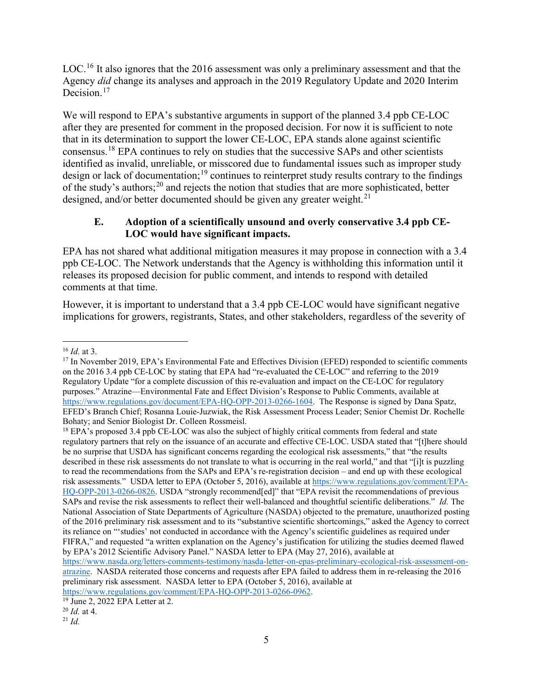LOC.<sup>16</sup> It also ignores that the 20[16](#page-4-0) assessment was only a preliminary assessment and that the Agency *did* change its analyses and approach in the 2019 Regulatory Update and 2020 Interim Decision.<sup>[17](#page-4-1)</sup>

We will respond to EPA's substantive arguments in support of the planned 3.4 ppb CE-LOC after they are presented for comment in the proposed decision. For now it is sufficient to note that in its determination to support the lower CE-LOC, EPA stands alone against scientific consensus.[18](#page-4-2) EPA continues to rely on studies that the successive SAPs and other scientists identified as invalid, unreliable, or misscored due to fundamental issues such as improper study design or lack of documentation;<sup>19</sup> continues to reinterpret study results contrary to the findings of the study's authors;[20](#page-4-4) and rejects the notion that studies that are more sophisticated, better designed, and/or better documented should be given any greater weight.<sup>[21](#page-4-5)</sup>

# **E. Adoption of a scientifically unsound and overly conservative 3.4 ppb CE-LOC would have significant impacts.**

EPA has not shared what additional mitigation measures it may propose in connection with a 3.4 ppb CE-LOC. The Network understands that the Agency is withholding this information until it releases its proposed decision for public comment, and intends to respond with detailed comments at that time.

However, it is important to understand that a 3.4 ppb CE-LOC would have significant negative implications for growers, registrants, States, and other stakeholders, regardless of the severity of

<span id="page-4-0"></span><sup>16</sup> *Id.* at 3.

<span id="page-4-1"></span><sup>&</sup>lt;sup>17</sup> In November 2019, EPA's Environmental Fate and Effectives Division (EFED) responded to scientific comments on the 2016 3.4 ppb CE-LOC by stating that EPA had "re-evaluated the CE-LOC" and referring to the 2019 Regulatory Update "for a complete discussion of this re-evaluation and impact on the CE-LOC for regulatory purposes." Atrazine—Environmental Fate and Effect Division's Response to Public Comments, available at [https://www.regulations.gov/document/EPA-HQ-OPP-2013-0266-1604.](https://www.regulations.gov/document/EPA-HQ-OPP-2013-0266-1604) The Response is signed by Dana Spatz, EFED's Branch Chief; Rosanna Louie-Juzwiak, the Risk Assessment Process Leader; Senior Chemist Dr. Rochelle Bohaty; and Senior Biologist Dr. Colleen Rossmeisl.

<span id="page-4-2"></span><sup>&</sup>lt;sup>18</sup> EPA's proposed 3.4 ppb CE-LOC was also the subject of highly critical comments from federal and state regulatory partners that rely on the issuance of an accurate and effective CE-LOC. USDA stated that "[t]here should be no surprise that USDA has significant concerns regarding the ecological risk assessments," that "the results described in these risk assessments do not translate to what is occurring in the real world," and that "[i]t is puzzling to read the recommendations from the SAPs and EPA's re-registration decision – and end up with these ecological risk assessments." USDA letter to EPA (October 5, 2016), available at [https://www.regulations.gov/comment/EPA-](https://www.regulations.gov/comment/EPA-HQ-OPP-2013-0266-0826)[HQ-OPP-2013-0266-0826.](https://www.regulations.gov/comment/EPA-HQ-OPP-2013-0266-0826) USDA "strongly recommend[ed]" that "EPA revisit the recommendations of previous SAPs and revise the risk assessments to reflect their well-balanced and thoughtful scientific deliberations." *Id.* The National Association of State Departments of Agriculture (NASDA) objected to the premature, unauthorized posting of the 2016 preliminary risk assessment and to its "substantive scientific shortcomings," asked the Agency to correct its reliance on "'studies' not conducted in accordance with the Agency's scientific guidelines as required under FIFRA," and requested "a written explanation on the Agency's justification for utilizing the studies deemed flawed by EPA's 2012 Scientific Advisory Panel." NASDA letter to EPA (May 27, 2016), available at [https://www.nasda.org/letters-comments-testimony/nasda-letter-on-epas-preliminary-ecological-risk-assessment-on](https://www.nasda.org/letters-comments-testimony/nasda-letter-on-epas-preliminary-ecological-risk-assessment-on-atrazine)[atrazine.](https://www.nasda.org/letters-comments-testimony/nasda-letter-on-epas-preliminary-ecological-risk-assessment-on-atrazine) NASDA reiterated those concerns and requests after EPA failed to address them in re-releasing the 2016 preliminary risk assessment. NASDA letter to EPA (October 5, 2016), available at [https://www.regulations.gov/comment/EPA-HQ-OPP-2013-0266-0962.](https://www.regulations.gov/comment/EPA-HQ-OPP-2013-0266-0962)<br><sup>19</sup> June 2, 2022 EPA Letter at 2.

<span id="page-4-3"></span>

<span id="page-4-4"></span><sup>20</sup> *Id.* at 4.

<span id="page-4-5"></span> $^{21}$  *Id.*